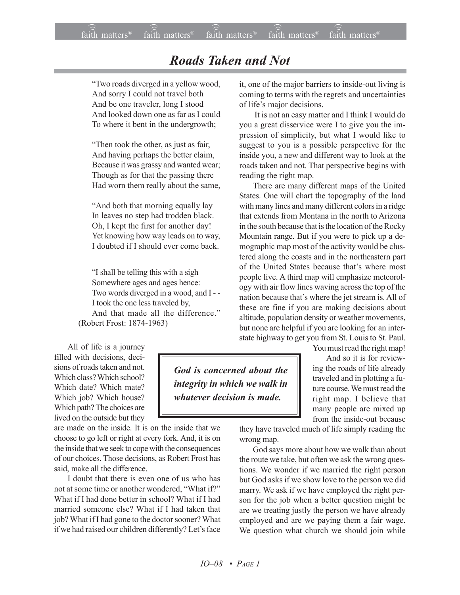## *Roads Taken and Not*

ìTwo roads diverged in a yellow wood, And sorry I could not travel both And be one traveler, long I stood And looked down one as far as I could To where it bent in the undergrowth;

"Then took the other, as just as fair, And having perhaps the better claim, Because it was grassy and wanted wear; Though as for that the passing there Had worn them really about the same,

"And both that morning equally lay In leaves no step had trodden black. Oh, I kept the first for another day! Yet knowing how way leads on to way, I doubted if I should ever come back.

"I shall be telling this with a sigh Somewhere ages and ages hence: Two words diverged in a wood, and I - - I took the one less traveled by, And that made all the difference." (Robert Frost: 1874-1963)

All of life is a journey filled with decisions, decisions of roads taken and not. Which class? Which school? Which date? Which mate? Which job? Which house? Which path? The choices are lived on the outside but they

are made on the inside. It is on the inside that we choose to go left or right at every fork. And, it is on the inside that we seek to cope with the consequences of our choices. Those decisions, as Robert Frost has said, make all the difference.

I doubt that there is even one of us who has not at some time or another wondered, "What if?" What if I had done better in school? What if I had married someone else? What if I had taken that job? What if I had gone to the doctor sooner? What if we had raised our children differently? Let's face

it, one of the major barriers to inside-out living is coming to terms with the regrets and uncertainties of life's major decisions.

 It is not an easy matter and I think I would do you a great disservice were I to give you the impression of simplicity, but what I would like to suggest to you is a possible perspective for the inside you, a new and different way to look at the roads taken and not. That perspective begins with reading the right map.

There are many different maps of the United States. One will chart the topography of the land with many lines and many different colors in a ridge that extends from Montana in the north to Arizona in the south because that is the location of the Rocky Mountain range. But if you were to pick up a demographic map most of the activity would be clustered along the coasts and in the northeastern part of the United States because that's where most people live. A third map will emphasize meteorology with air flow lines waving across the top of the nation because that's where the jet stream is. All of these are fine if you are making decisions about altitude, population density or weather movements, but none are helpful if you are looking for an interstate highway to get you from St. Louis to St. Paul.

You must read the right map!

And so it is for reviewing the roads of life already traveled and in plotting a future course. We must read the right map. I believe that many people are mixed up from the inside-out because

they have traveled much of life simply reading the wrong map.

God says more about how we walk than about the route we take, but often we ask the wrong questions. We wonder if we married the right person but God asks if we show love to the person we did marry. We ask if we have employed the right person for the job when a better question might be are we treating justly the person we have already employed and are we paying them a fair wage. We question what church we should join while

*God is concerned about the integrity in which we walk in whatever decision is made.*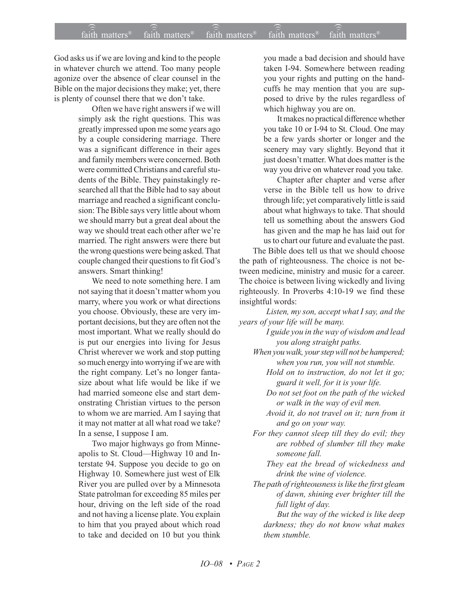God asks us if we are loving and kind to the people in whatever church we attend. Too many people agonize over the absence of clear counsel in the Bible on the major decisions they make; yet, there is plenty of counsel there that we don't take.

> Often we have right answers if we will simply ask the right questions. This was greatly impressed upon me some years ago by a couple considering marriage. There was a significant difference in their ages and family members were concerned. Both were committed Christians and careful students of the Bible. They painstakingly researched all that the Bible had to say about marriage and reached a significant conclusion: The Bible says very little about whom we should marry but a great deal about the way we should treat each other after we're married. The right answers were there but the wrong questions were being asked. That couple changed their questions to fit God's answers. Smart thinking!

> We need to note something here. I am not saying that it doesn't matter whom you marry, where you work or what directions you choose. Obviously, these are very important decisions, but they are often not the most important. What we really should do is put our energies into living for Jesus Christ wherever we work and stop putting so much energy into worrying if we are with the right company. Let's no longer fantasize about what life would be like if we had married someone else and start demonstrating Christian virtues to the person to whom we are married. Am I saying that it may not matter at all what road we take? In a sense, I suppose I am.

> Two major highways go from Minneapolis to St. Cloud-Highway 10 and Interstate 94. Suppose you decide to go on Highway 10. Somewhere just west of Elk River you are pulled over by a Minnesota State patrolman for exceeding 85 miles per hour, driving on the left side of the road and not having a license plate. You explain to him that you prayed about which road to take and decided on 10 but you think

you made a bad decision and should have taken I-94. Somewhere between reading you your rights and putting on the handcuffs he may mention that you are supposed to drive by the rules regardless of which highway you are on.

It makes no practical difference whether you take 10 or I-94 to St. Cloud. One may be a few yards shorter or longer and the scenery may vary slightly. Beyond that it just doesn't matter. What does matter is the way you drive on whatever road you take.

Chapter after chapter and verse after verse in the Bible tell us how to drive through life; yet comparatively little is said about what highways to take. That should tell us something about the answers God has given and the map he has laid out for us to chart our future and evaluate the past.

The Bible does tell us that we should choose the path of righteousness. The choice is not between medicine, ministry and music for a career. The choice is between living wickedly and living righteously. In Proverbs 4:10-19 we find these insightful words:

*Listen, my son, accept what I say, and the years of your life will be many.*

- *I guide you in the way of wisdom and lead you along straight paths.*
- *When you walk, your step will not be hampered; when you run, you will not stumble.*
	- *Hold on to instruction, do not let it go; guard it well, for it is your life.*
	- *Do not set foot on the path of the wicked or walk in the way of evil men.*
	- *Avoid it, do not travel on it; turn from it and go on your way.*
- *For they cannot sleep till they do evil; they are robbed of slumber till they make someone fall.*

*They eat the bread of wickedness and drink the wine of violence.*

*The path of righteousness is like the first gleam of dawn, shining ever brighter till the full light of day.*

*But the way of the wicked is like deep darkness; they do not know what makes them stumble.*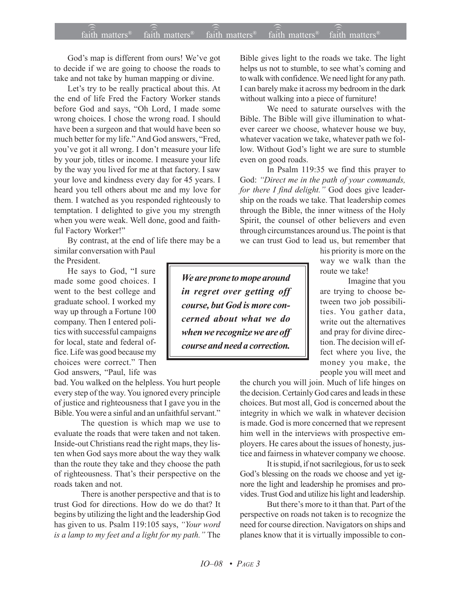## $f$ aith matters  $\widehat{f}$  faith matters  $\widehat{f}$  faith matters  $\widehat{f}$  faith matters  $\widehat{f}$  faith matters faith matters<sup>®</sup> faith matters<sup>®</sup>  $f$ ) faith matters<sup> $\circ$ </sup>

God's map is different from ours! We've got to decide if we are going to choose the roads to take and not take by human mapping or divine.

Let's try to be really practical about this. At the end of life Fred the Factory Worker stands before God and says, "Oh Lord, I made some wrong choices. I chose the wrong road. I should have been a surgeon and that would have been so much better for my life." And God answers, "Fred, you've got it all wrong. I don't measure your life by your job, titles or income. I measure your life by the way you lived for me at that factory. I saw your love and kindness every day for 45 years. I heard you tell others about me and my love for them. I watched as you responded righteously to temptation. I delighted to give you my strength when you were weak. Well done, good and faithful Factory Worker!"

By contrast, at the end of life there may be a similar conversation with Paul

the President.

He says to God, "I sure made some good choices. I went to the best college and graduate school. I worked my way up through a Fortune 100 company. Then I entered politics with successful campaigns for local, state and federal office. Life was good because my choices were correct." Then God answers, "Paul, life was

bad. You walked on the helpless. You hurt people every step of the way. You ignored every principle of justice and righteousness that I gave you in the Bible. You were a sinful and an unfaithful servant.<sup>"</sup>

The question is which map we use to evaluate the roads that were taken and not taken. Inside-out Christians read the right maps, they listen when God says more about the way they walk than the route they take and they choose the path of righteousness. That's their perspective on the roads taken and not.

There is another perspective and that is to trust God for directions. How do we do that? It begins by utilizing the light and the leadership God has given to us. Psalm 119:105 says, "Your word *is a lamp to my feet and a light for my path.* "The

Bible gives light to the roads we take. The light helps us not to stumble, to see what's coming and to walk with confidence. We need light for any path. I can barely make it across my bedroom in the dark without walking into a piece of furniture!

We need to saturate ourselves with the Bible. The Bible will give illumination to whatever career we choose, whatever house we buy, whatever vacation we take, whatever path we follow. Without God's light we are sure to stumble even on good roads.

In Psalm 119:35 we find this prayer to God: "Direct me in the path of your commands, for there I find delight.<sup>"</sup> God does give leadership on the roads we take. That leadership comes through the Bible, the inner witness of the Holy Spirit, the counsel of other believers and even through circumstances around us. The point is that we can trust God to lead us, but remember that

his priority is more on the way we walk than the route we take!

Imagine that you are trying to choose between two job possibilities. You gather data, write out the alternatives and pray for divine direction. The decision will effect where you live, the money you make, the people you will meet and

the church you will join. Much of life hinges on the decision. Certainly God cares and leads in these choices. But most all, God is concerned about the integrity in which we walk in whatever decision is made. God is more concerned that we represent him well in the interviews with prospective employers. He cares about the issues of honesty, justice and fairness in whatever company we choose.

It is stupid, if not sacrilegious, for us to seek God's blessing on the roads we choose and yet ignore the light and leadership he promises and provides. Trust God and utilize his light and leadership.

But there's more to it than that. Part of the perspective on roads not taken is to recognize the need for course direction. Navigators on ships and planes know that it is virtually impossible to con-

*We are prone to mope around in regret over getting off course, but God is more concerned about what we do when we recognize we are off course and need a correction.*